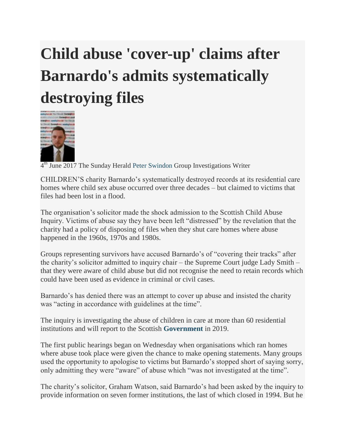## **Child abuse 'cover-up' claims after Barnardo's admits systematically destroying files**



4<sup>th</sup> June 2017 The Sunday Herald [Peter Swindon](http://www.heraldscotland.com/author/profile/73463.Peter_Swindon/) Group Investigations Writer

CHILDREN'S charity Barnardo's systematically destroyed records at its residential care homes where child sex abuse occurred over three decades – but claimed to victims that files had been lost in a flood.

The organisation's solicitor made the shock admission to the Scottish Child Abuse Inquiry. Victims of abuse say they have been left "distressed" by the revelation that the charity had a policy of disposing of files when they shut care homes where abuse happened in the 1960s, 1970s and 1980s.

Groups representing survivors have accused Barnardo's of "covering their tracks" after the charity's solicitor admitted to inquiry chair – the Supreme Court judge Lady Smith – that they were aware of child abuse but did not recognise the need to retain records which could have been used as evidence in criminal or civil cases.

Barnardo's has denied there was an attempt to cover up abuse and insisted the charity was "acting in accordance with guidelines at the time".

The inquiry is investigating the abuse of children in care at more than 60 residential institutions and will report to the Scottish **[Government](http://www.heraldscotland.com/search/?search=Government&topic_id=8816)** in 2019.

The first public hearings began on Wednesday when organisations which ran homes where abuse took place were given the chance to make opening statements. Many groups used the opportunity to apologise to victims but Barnardo's stopped short of saying sorry, only admitting they were "aware" of abuse which "was not investigated at the time".

The charity's solicitor, Graham Watson, said Barnardo's had been asked by the inquiry to provide information on seven former institutions, the last of which closed in 1994. But he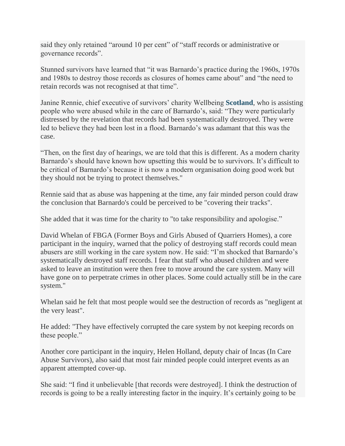said they only retained "around 10 per cent" of "staff records or administrative or governance records".

Stunned survivors have learned that "it was Barnardo's practice during the 1960s, 1970s and 1980s to destroy those records as closures of homes came about" and "the need to retain records was not recognised at that time".

Janine Rennie, chief executive of survivors' charity Wellbeing **[Scotland](http://www.heraldscotland.com/search/?search=Scotland&topic_id=8820)**, who is assisting people who were abused while in the care of Barnardo's, said: "They were particularly distressed by the revelation that records had been systematically destroyed. They were led to believe they had been lost in a flood. Barnardo's was adamant that this was the case.

"Then, on the first day of hearings, we are told that this is different. As a modern charity Barnardo's should have known how upsetting this would be to survivors. It's difficult to be critical of Barnardo's because it is now a modern organisation doing good work but they should not be trying to protect themselves."

Rennie said that as abuse was happening at the time, any fair minded person could draw the conclusion that Barnardo's could be perceived to be "covering their tracks".

She added that it was time for the charity to "to take responsibility and apologise."

David Whelan of FBGA (Former Boys and Girls Abused of Quarriers Homes), a core participant in the inquiry, warned that the policy of destroying staff records could mean abusers are still working in the care system now. He said: "I'm shocked that Barnardo's systematically destroyed staff records. I fear that staff who abused children and were asked to leave an institution were then free to move around the care system. Many will have gone on to perpetrate crimes in other places. Some could actually still be in the care system."

Whelan said he felt that most people would see the destruction of records as "negligent at the very least".

He added: "They have effectively corrupted the care system by not keeping records on these people."

Another core participant in the inquiry, Helen Holland, deputy chair of Incas (In Care Abuse Survivors), also said that most fair minded people could interpret events as an apparent attempted cover-up.

She said: "I find it unbelievable [that records were destroyed]. I think the destruction of records is going to be a really interesting factor in the inquiry. It's certainly going to be